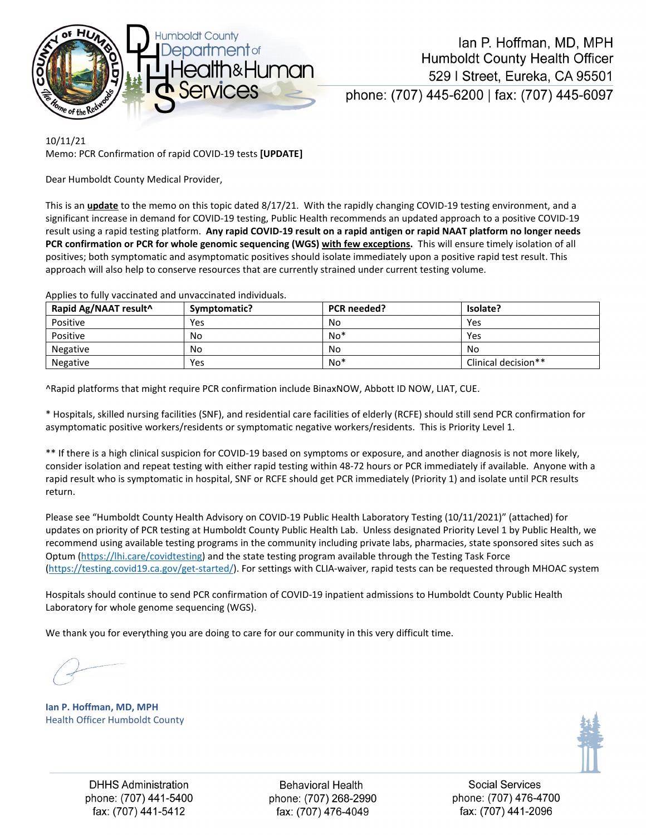

10/11/21 Memo: PCR Confirmation of rapid COVID-19 tests **[UPDATE]**

Dear Humboldt County Medical Provider,

This is an **update** to the memo on this topic dated 8/17/21. With the rapidly changing COVID-19 testing environment, and a significant increase in demand for COVID-19 testing, Public Health recommends an updated approach to a positive COVID-19 result using a rapid testing platform. **Any rapid COVID-19 result on a rapid antigen or rapid NAAT platform no longer needs PCR confirmation or PCR for whole genomic sequencing (WGS) with few exceptions.** This will ensure timely isolation of all positives; both symptomatic and asymptomatic positives should isolate immediately upon a positive rapid test result. This approach will also help to conserve resources that are currently strained under current testing volume.

| Rapid Ag/NAAT result^ | Symptomatic? | PCR needed? | Isolate?            |
|-----------------------|--------------|-------------|---------------------|
| Positive              | Yes          | No          | Yes                 |
| Positive              | No           | $No*$       | Yes                 |
| Negative              | No           | No          | No                  |
| Negative              | Yes          | No*         | Clinical decision** |

Applies to fully vaccinated and unvaccinated individuals.

^Rapid platforms that might require PCR confirmation include BinaxNOW, Abbott ID NOW, LIAT, CUE.

\* Hospitals, skilled nursing facilities (SNF), and residential care facilities of elderly (RCFE) should still send PCR confirmation for asymptomatic positive workers/residents or symptomatic negative workers/residents. This is Priority Level 1.

\*\* If there is a high clinical suspicion for COVID-19 based on symptoms or exposure, and another diagnosis is not more likely, consider isolation and repeat testing with either rapid testing within 48-72 hours or PCR immediately if available. Anyone with a rapid result who is symptomatic in hospital, SNF or RCFE should get PCR immediately (Priority 1) and isolate until PCR results return.

Please see "Humboldt County Health Advisory on COVID-19 Public Health Laboratory Testing (10/11/2021)" (attached) for updates on priority of PCR testing at Humboldt County Public Health Lab. Unless designated Priority Level 1 by Public Health, we recommend using available testing programs in the community including private labs, pharmacies, state sponsored sites such as Optum [\(https://lhi.care/covidtesting\)](https://lhi.care/covidtesting) and the state testing program available through the Testing Task Force [\(https://testing.covid19.ca.gov/get-started/\)](https://testing.covid19.ca.gov/get-started/). For settings with CLIA-waiver, rapid tests can be requested through MHOAC system

Hospitals should continue to send PCR confirmation of COVID-19 inpatient admissions to Humboldt County Public Health Laboratory for whole genome sequencing (WGS).

We thank you for everything you are doing to care for our community in this very difficult time.

**Ian P. Hoffman, MD, MPH** Health Officer Humboldt County



**DHHS Administration** phone: (707) 441-5400 fax: (707) 441-5412

**Behavioral Health** phone: (707) 268-2990 fax: (707) 476-4049

Social Services phone: (707) 476-4700 fax: (707) 441-2096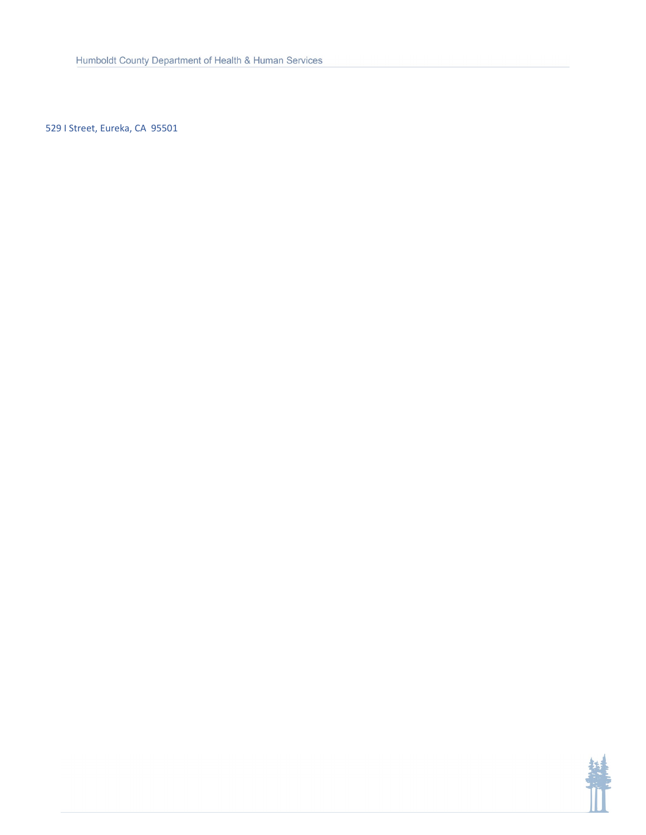529 I Street, Eureka, CA 95501

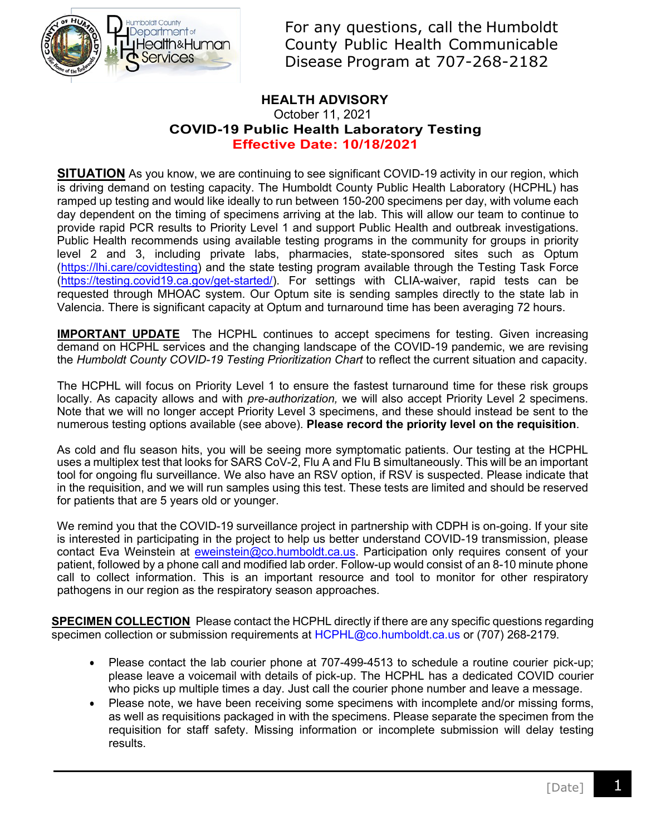

For any questions, call the Humboldt County Public Health Communicable Disease Program at 707-268-2182

## **HEALTH ADVISORY**

### October 11, 2021 **COVID-19 Public Health Laboratory Testing Effective Date: 10/18/2021**

**SITUATION** As you know, we are continuing to see significant COVID-19 activity in our region, which is driving demand on testing capacity. The Humboldt County Public Health Laboratory (HCPHL) has ramped up testing and would like ideally to run between 150-200 specimens per day, with volume each day dependent on the timing of specimens arriving at the lab. This will allow our team to continue to provide rapid PCR results to Priority Level 1 and support Public Health and outbreak investigations. Public Health recommends using available testing programs in the community for groups in priority level 2 and 3, including private labs, pharmacies, state-sponsored sites such as Optum [\(https://lhi.care/covidtesting\)](https://lhi.care/covidtesting) and the state testing program available through the Testing Task Force [\(https://testing.covid19.ca.gov/get-started/\)](https://testing.covid19.ca.gov/get-started/). For settings with CLIA-waiver, rapid tests can be requested through MHOAC system. Our Optum site is sending samples directly to the state lab in Valencia. There is significant capacity at Optum and turnaround time has been averaging 72 hours.

**IMPORTANT UPDATE** The HCPHL continues to accept specimens for testing. Given increasing demand on HCPHL services and the changing landscape of the COVID-19 pandemic, we are revising the *Humboldt County COVID-19 Testing Prioritization Chart* to reflect the current situation and capacity.

The HCPHL will focus on Priority Level 1 to ensure the fastest turnaround time for these risk groups locally. As capacity allows and with *pre-authorization,* we will also accept Priority Level 2 specimens. Note that we will no longer accept Priority Level 3 specimens, and these should instead be sent to the numerous testing options available (see above). **Please record the priority level on the requisition**.

As cold and flu season hits, you will be seeing more symptomatic patients. Our testing at the HCPHL uses a multiplex test that looks for SARS CoV-2, Flu A and Flu B simultaneously. This will be an important tool for ongoing flu surveillance. We also have an RSV option, if RSV is suspected. Please indicate that in the requisition, and we will run samples using this test. These tests are limited and should be reserved for patients that are 5 years old or younger.

We remind you that the COVID-19 surveillance project in partnership with CDPH is on-going. If your site is interested in participating in the project to help us better understand COVID-19 transmission, please contact Eva Weinstein at [eweinstein@co.humboldt.ca.us.](mailto:eweinstein@co.humboldt.ca.us) Participation only requires consent of your patient, followed by a phone call and modified lab order. Follow-up would consist of an 8-10 minute phone call to collect information. This is an important resource and tool to monitor for other respiratory pathogens in our region as the respiratory season approaches.

**SPECIMEN COLLECTION** Please contact the HCPHL directly if there are any specific questions regarding specimen collection or submission requirements at [HCPHL@co.humboldt.ca.us](mailto:HCPHL@co.humboldt.ca.us) or (707) 268-2179.

- Please contact the lab courier phone at 707-499-4513 to schedule a routine courier pick-up; please leave a voicemail with details of pick-up. The HCPHL has a dedicated COVID courier who picks up multiple times a day. Just call the courier phone number and leave a message.
- Please note, we have been receiving some specimens with incomplete and/or missing forms, as well as requisitions packaged in with the specimens. Please separate the specimen from the requisition for staff safety. Missing information or incomplete submission will delay testing results.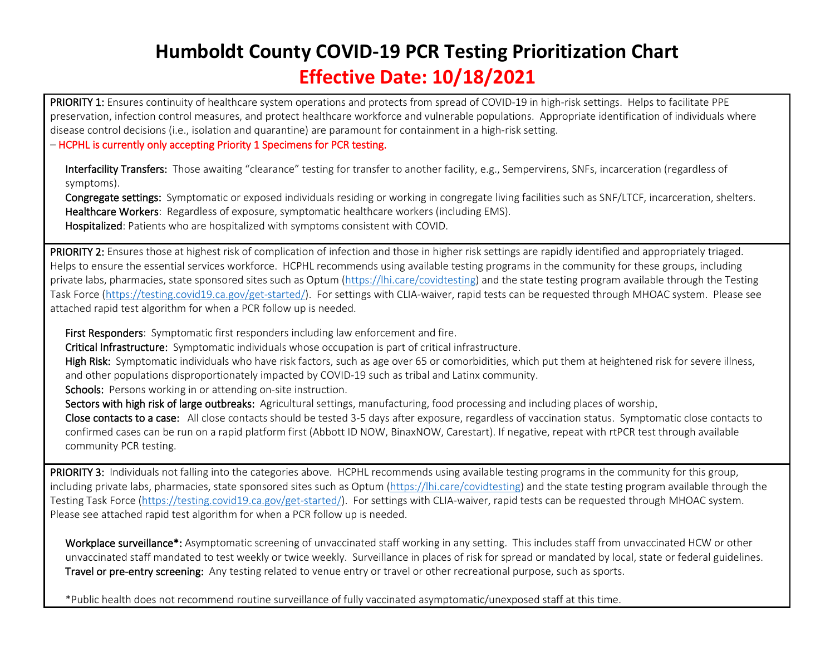# **Humboldt County COVID-19 PCR Testing Prioritization Chart Effective Date: 10/18/2021**

PRIORITY 1: Ensures continuity of healthcare system operations and protects from spread of COVID-19 in high-risk settings. Helps to facilitate PPE preservation, infection control measures, and protect healthcare workforce and vulnerable populations. Appropriate identification of individuals where disease control decisions (i.e., isolation and quarantine) are paramount for containment in a high-risk setting.

#### – HCPHL is currently only accepting Priority 1 Specimens for PCR testing.

Interfacility Transfers: Those awaiting "clearance" testing for transfer to another facility, e.g., Sempervirens, SNFs, incarceration (regardless of symptoms).

Congregate settings: Symptomatic or exposed individuals residing or working in congregate living facilities such as SNF/LTCF, incarceration, shelters. Healthcare Workers: Regardless of exposure, symptomatic healthcare workers (including EMS). Hospitalized: Patients who are hospitalized with symptoms consistent with COVID.

PRIORITY 2: Ensures those at highest risk of complication of infection and those in higher risk settings are rapidly identified and appropriately triaged. Helps to ensure the essential services workforce. HCPHL recommends using available testing programs in the community for these groups, including private labs, pharmacies, state sponsored sites such as Optum [\(https://lhi.care/covidtesting\)](https://lhi.care/covidtesting) and the state testing program available through the Testing Task Force [\(https://testing.covid19.ca.gov/get-started/\)](https://testing.covid19.ca.gov/get-started/). For settings with CLIA-waiver, rapid tests can be requested through MHOAC system. Please see attached rapid test algorithm for when a PCR follow up is needed.

First Responders: Symptomatic first responders including law enforcement and fire.

Critical Infrastructure: Symptomatic individuals whose occupation is part of critical infrastructure.

High Risk: Symptomatic individuals who have risk factors, such as age over 65 or comorbidities, which put them at heightened risk for severe illness, and other populations disproportionately impacted by COVID-19 such as tribal and Latinx community.

Schools: Persons working in or attending on-site instruction.

Sectors with high risk of large outbreaks: Agricultural settings, manufacturing, food processing and including places of worship.

Close contacts to a case: All close contacts should be tested 3-5 days after exposure, regardless of vaccination status. Symptomatic close contacts to confirmed cases can be run on a rapid platform first (Abbott ID NOW, BinaxNOW, Carestart). If negative, repeat with rtPCR test through available community PCR testing.

PRIORITY 3: Individuals not falling into the categories above. HCPHL recommends using available testing programs in the community for this group, including private labs, pharmacies, state sponsored sites such as Optum [\(https://lhi.care/covidtesting\)](https://lhi.care/covidtesting) and the state testing program available through the Testing Task Force [\(https://testing.covid19.ca.gov/get-started/\)](https://testing.covid19.ca.gov/get-started/). For settings with CLIA-waiver, rapid tests can be requested through MHOAC system. Please see attached rapid test algorithm for when a PCR follow up is needed.

Workplace surveillance\*: Asymptomatic screening of unvaccinated staff working in any setting. This includes staff from unvaccinated HCW or other unvaccinated staff mandated to test weekly or twice weekly. Surveillance in places of risk for spread or mandated by local, state or federal guidelines. Travel or pre-entry screening: Any testing related to venue entry or travel or other recreational purpose, such as sports.

10.07.21

\*Public health does not recommend routine surveillance of fully vaccinated asymptomatic/unexposed staff at this time.